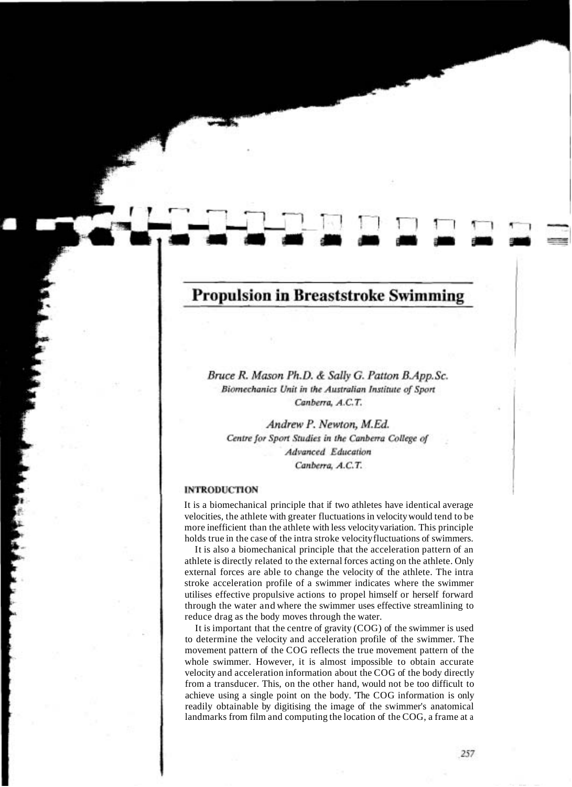# **Propulsion in Breaststroke Swimming**

Bruce R. Mason Ph.D. & Sally G. Patton B.App.Sc. Biomechanics Unit in the Australian Institute of Sport Canberra, A.C.T.

Andrew P. Newton, M.Ed. Centre for Sport Studies in the Canberra College of **Advanced** Education Canberra, A.C.T.

#### **INTRODUCTION**

It is a biomechanical principle that if two athletes have identical average velocities, the athlete with greater fluctuations in velocity would tend to be more inefficient than the athlete with less velocity variation. This principle holds true in the case of the intra stroke velocity fluctuations of swimmers.

It is also a biomechanical principle that the acceleration pattern of an athlete is directly related to the external forces acting on the athlete. Only external forces are able to change the velocity of the athlete. The intra stroke acceleration profile of a swimmer indicates where the swimmer utilises effective propulsive actions to propel himself or herself forward through the water and where the swimmer uses effective streamlining to reduce drag as the body moves through the water.

It is important that the centre of gravity (COG) of the swimmer is used to determine the velocity and acceleration profile of the swimmer. The movement pattern of the COG reflects the true movement pattern of the whole swimmer. However, it is almost impossible to obtain accurate velocity and acceleration information about the COG of the body directly from a transducer. This, on the other hand, would not be too difficult to achieve using a single point on the body. 'The COG information is only readily obtainable by digitising the image of the swimmer's anatomical landmarks from film and computing the location of the COG, a frame at a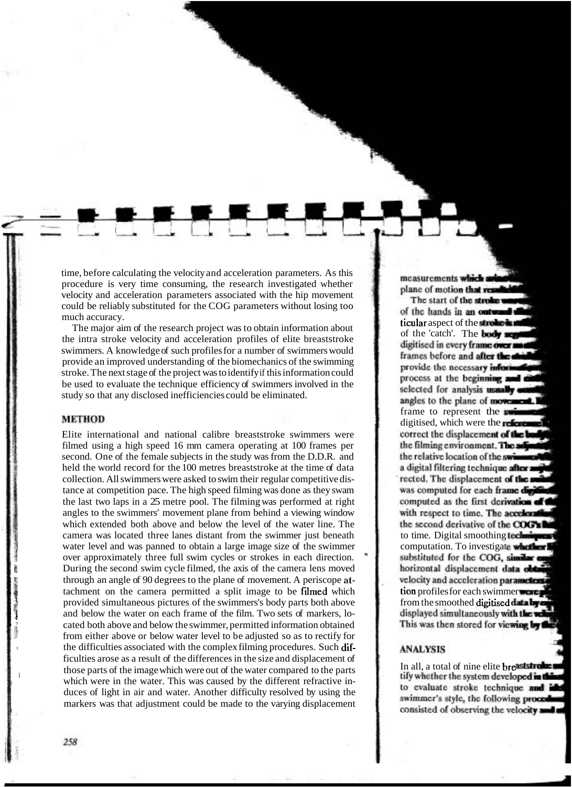time, before calculating the velocity and acceleration parameters. As this procedure is very time consuming, the research investigated whether velocity and acceleration parameters associated with the hip movement could be reliably substituted for the COG parameters without losing too

The major aim of the research project was to obtain information about the intra stroke velocity and acceleration profiles of elite breaststroke swimmers. A knowledge of such profiles for a number of swimmers would provide an improved understanding of the biomechanics of the swimming stroke. The next stage of the project was to identify if this information could be used to evaluate the technique efficiency of swimmers involved in the study so that any disclosed inefficiencies could be eliminated.

## **METHOD**

Elite international and national calibre breaststroke swimmers were filmed using a high speed 16 mm camera operating at 100 frames per second. One of the female subjects in the study was from the D.D.R. and held the world record for the 100 metres breaststroke at the time of data collection. All swimmers were asked to swim their regular competitive distance at competition pace. The high speed filming was done as they swam the last two laps in a 25 metre pool. The filming was performed at right angles to the swimmers' movement plane from behind a viewing window which extended both above and below the level of the water line. The camera was located three lanes distant from the swimmer just beneath water level and was panned to obtain a large image size of the swimmer over approximately three full swim cycles or strokes in each direction. During the second swim cycles for subsets in each differential.<br>During the second swim cycle filmed, the axis of the camera lens moved<br>through an angle of 90 degrees to the plane of movement. A periscope at-<br>tachment on th tachment on the camera permitted a split image to be filmed which provided simultaneous pictures of the swimmers's body parts both above and below the water on each frame of the film. Two sets of markers, lo-<br>cated both above and below the swimmer, permitted information obtained from either above or below water level to be adjusted so as to rectify for the difficulties associated with the complex filming procedures. Such difficulties arose as a result of the differences in the size and displacement of those parts of the image which were out of the water compared to the parts which were in the water. This was caused by the different refractive induces of light in air and water. Another difficulty resolved by using the markers was that adjustment could be made to the varying displacement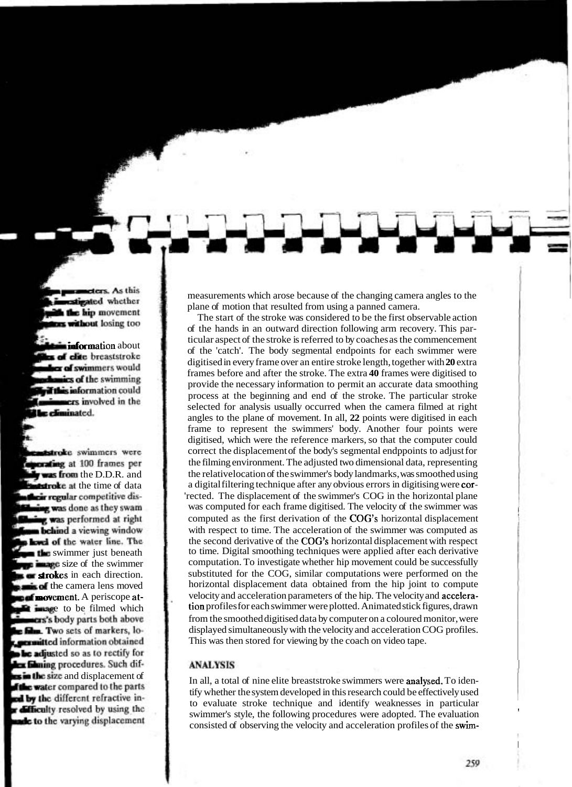measurements which arose because of the changing camera angles to the plane of motion that resulted from using a panned camera.

The start of the stroke was considered to be the first observable action of the hands in an outward direction following arm recovery. This parof the 'catch'. The body segmental endpoints for each swimmer were digitised in every frame over an entire stroke length, together with **20** extra frames before and after the stroke. The extra **40** frames were digitised to provide the necessary information to permit an accurate data smoothing process at the beginning and end of the stroke. The particular stroke selected for analysis usually occurred when the camera filmed at right angles to the plane of movement. In all, **22** points were digitised in each frame to represent the swimmers' body. Another four points were digitised, which were the reference markers, so that the computer could correct the displacement of the body's segmental endppoints to adjust for the filming environment. The adjusted two dimensional data, representing the relative location of the swimmer's body landmarks, was smoothed using a digital filtering technique after any obvious errors in digitising were cor-'rected. The displacement of the swimmer's COG in the horizontal plane was computed for each frame digitised. The velocity of the swimmer was computed as the first derivation of the COG'S horizontal displacement with respect to time. The acceleration of the swimmer was computed as the second derivative of the COG'S horizontal displacement with respect to time. Digital smoothing techniques were applied after each derivative computation. To investigate whether hip movement could be successfully substituted for the COG, similar computations were performed on the horizontal displacement data obtained from the hip joint to compute velocity and acceleration parameters of the hip. The velocity and acceleration profiles for each swimmer were plotted. Animated stick figures, drawn from the smoothed digitised data by computer on a coloured monitor, were displayed simultaneously with the velocity and acceleration COG profiles. This was then stored for viewing by the coach on video tape.

### **ANALYSIS**

In all, a total of nine elite breaststroke swimmers were analysed. To identify whether the system developed in this research could be effectively used to evaluate stroke technique and identify weaknesses in particular swimmer's style, the following procedures were adopted. The evaluation consisted of observing the velocity and acceleration profiles of the swim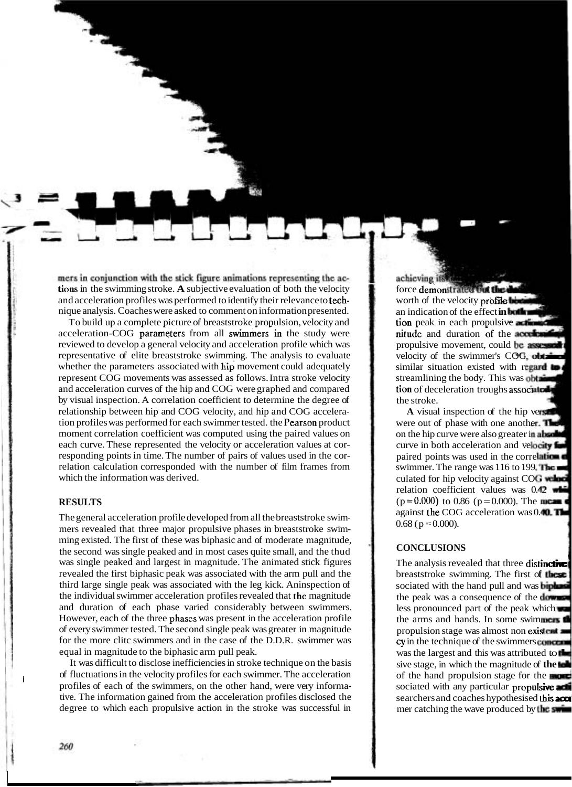mers in conjunction with the stick figure animations representing the actions in the swimming stroke. A subjective evaluation of both the velocity and acceleration profiles was performed to identify their relevance to technique analysis. Coaches were asked to comment on information presented.

To build up a complete picture of breaststroke propulsion, velocity and acceleration-COG parameters from all swimmers in the study were reviewed to develop a general velocity and acceleration profile which was representative of elite breaststroke swimming. The analysis to evaluate whether the parameters associated with hip movement could adequately represent COG movements was assessed as follows. Intra stroke velocity and acceleration curves of the hip and COG were graphed and compared by visual inspection. A correlation coefficient to determine the degree of relationship between hip and COG velocity, and hip and COG acceleration profiles was performed for each swimmer tested. the Pearson product moment correlation coefficient was computed using the paired values on each curve. These represented the velocity or acceleration values at corresponding points in time. The number of pairs of values used in the correlation calculation corresponded with the number of film frames from which the information was derived.

## **RESULTS**

The general acceleration profile developed from all the breaststroke swimmers revealed that three major propulsive phases in breaststroke swimming existed. The first of these was biphasic and of moderate magnitude, the second was single peaked and in most cases quite small, and the thud was single peaked and largest in magnitude. The animated stick figures revealed the first biphasic peak was associated with the arm pull and the third large single peak was associated with the leg kick. Aninspection of the individual swimmer acceleration profiles revealed that thc magnitude and duration of each phase varied considerably between swimmers. However, each of the three phascs was present in the acceleration profile of every swimmer tested. The second single peak was greater in magnitude for the more clitc swimmers and in the case of the D.D.R. swimmer was equal in magnitude to the biphasic arm pull peak.

It was difficult to disclose inefficiencies in stroke technique on the basis of fluctuations in the velocity profiles for each swimmer. The acceleration profiles of each of the swimmers, on the other hand, were very informative. The information gained from the acceleration profiles disclosed the degree to which each propulsive action in the stroke was successful in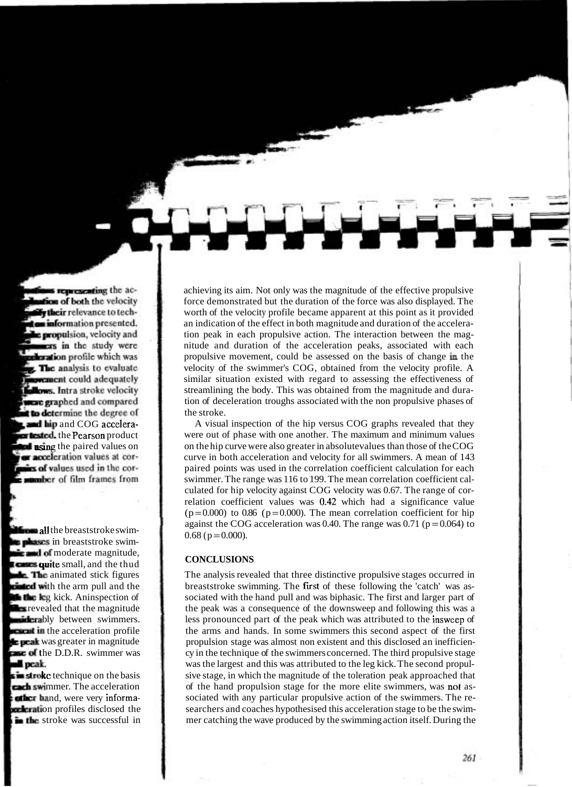achieving its aim. Not only was the magnitude of the effective propulsive force demonstrated but the duration of the force was also displayed. The worth of the velocity profile became apparent at this point as it provided an indication of the effect in both magnitude and duration of the acceleration peak in each propulsive action. The interaction between the magnitude and duration of the acceleration peaks, associated with each propulsive movement, could be assessed on the basis of change **in** the velocity of the swimmer's COG, obtained from the velocity profile. A similar situation existed with regard to assessing the effectiveness of streamlining the body. This was obtained from the magnitude and duration of deceleration troughs associated with the non propulsive phases of the stroke.

A visual inspection of the hip versus COG graphs revealed that they were out of phase with one another. The maximum and minimum values on the hip curve were also greater in absolutevalues than those of the COG curve in both acceleration and velocity for all swimmers. A mean of 143 paired points was used in the correlation coefficient calculation for each swimmer. The range was 116 to 199. The mean correlation coefficient calculated for hip velocity against COG velocity was 0.67. The range of correlation coefficient values was 0.42 which had a significance value  $(p=0.000)$  to 0.86 (p=0.000). The mean correlation coefficient for hip against the COG acceleration was 0.40. The range was 0.71 ( $p = 0.064$ ) to  $0.68$  (p = 0.000).

### **CONCLUSIONS**

The analysis revealed that three distinctive propulsive stages occurred in breaststroke swimming. The fist of these following the 'catch' was associated with the hand pull and was biphasic. The first and larger part of the peak was a consequence of the downsweep and following this was a less pronounced part of the peak which was attributed to the insweep of the arms and hands. In some swimmers this second aspect of the first propulsion stage was almost non existent and this disclosed an inefficiency in the technique of the swimmers concerned. The third propulsive stage was the largest and this was attributed to the leg kick. The second propulsive stage, in which the magnitude of the toleration peak approached that of the hand propulsion stage for the more elite swimmers, was not associated with any particular propulsive action of the swimmers. The researchers and coaches hypothesised this acceleration stage to be the swimmer catching the wave produced by the swimming action itself. During the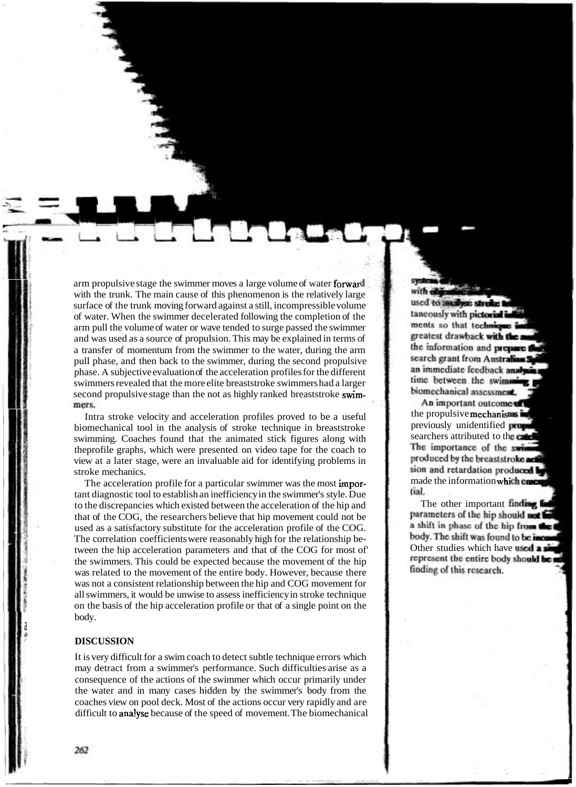arm propulsive stage the swimmer moves a large volume of water forward with the trunk. The main cause of this phenomenon is the relatively large surface of the trunk moving forward against a still, incompressible volume of water. When the swimmer decelerated following the completion of the arm pull the volume of water or wave tended to surge passed the swimmer and was used as a source of propulsion. This may be explained in terms of a transfer of momentum from the swimmer to the water, during the arm pull phase, and then back to the swimmer, during the second propulsive phase. A subjective evaluation of the acceleration profiles for the different swimmers revealed that the more elite breaststroke swimmers had a larger second propulsive stage than the not as highly ranked breaststroke swimmers.

Intra stroke velocity and acceleration profiles proved to be a useful biomechanical tool in the analysis of stroke technique in breaststroke swimming. Coaches found that the animated stick figures along with theprofile graphs, which were presented on video tape for the coach to view at a later stage, were an invaluable aid for identifying problems in stroke mechanics.

The acceleration profile for a particular swimmer was the most important diagnostic tool to establish an inefficiency in the swimmer's style. Due to the discrepancies which existed between the acceleration of the hip and that of the COG, the researchers believe that hip movement could not be used as a satisfactory substitute for the acceleration profile of the COG. The correlation coefficients were reasonably high for the relationship between the hip acceleration parameters and that of the COG for most of the swimmers. This could be expected because the movement of the hip was related to the movement of the entire body. However, because there was not a consistent relationship between the hip and COG movement for all swimmers, it would be unwise to assess inefficiency in stroke technique on the basis of the hip acceleration profile or that of a single point on the body.

## **DISCUSSION**

It is very difficult for a swim coach to detect subtle technique errors which may detract from a swimmer's performance. Such difficulties arise as a consequence of the actions of the swimmer which occur primarily under the water and in many cases hidden by the swimmer's body from the coaches view on pool deck. Most of the actions occur very rapidly and are difficult to analyse because of the speed of movement. The biomechanical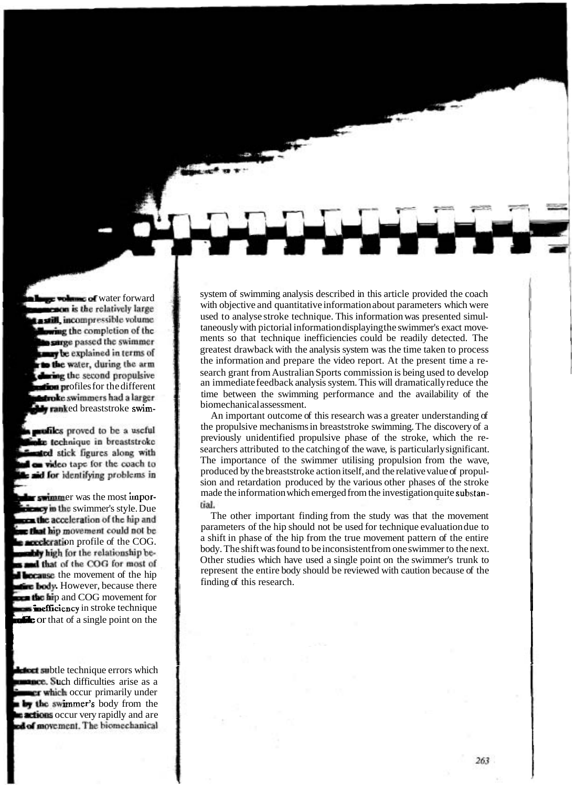system of swimming analysis described in this article provided the coach with objective and quantitative information about parameters which were used to analyse stroke technique. This information was presented simultaneously with pictorial information displaying the swimmer's exact movements so that technique inefficiencies could be readily detected. The greatest drawback with the analysis system was the time taken to process the information and prepare the video report. At the present time a research grant from Australian Sports commission is being used to develop an immediate feedback analysis system. This will dramatically reduce the time between the swimming performance and the availability of the biomechanical assessment.

An important outcome of this research was a greater understanding of the propulsive mechanisms in breaststroke swimming. The discovery of a previously unidentified propulsive phase of the stroke, which the researchers attributed to the catching of the wave, is particularly significant. The importance of the swimmer utilising propulsion from the wave, produced by the breaststroke action itself, and the relative value of propulsion and retardation produced by the various other phases of the stroke made the information which emerged from the investigation quite substan-<br>tial.

The other important finding from the study was that the movement parameters of the hip should not be used for technique evaluation due to  $\alpha$  shift in phase of the hip from the true movement pattern of the entire body. The shift was found to be inconsistent from one swimmer to the next. Other studies which have used a single point on the swimmer's trunk to represent the entire body should be reviewed with caution because of the finding of this research.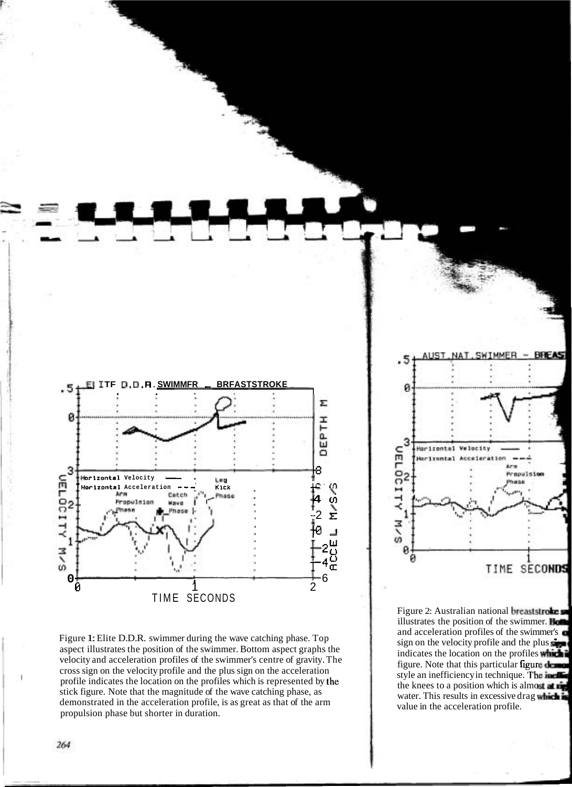

Figure 1: Elite D.D.R. swimmer during the wave catching phase. Top aspect illustrates the position of the swimmer. Bottom aspect graphs the velocity and acceleration profiles of the swimmer's centre of gravity. The cross sign on the velocity profile and the plus sign on the acceleration profile indicates the location on the profiles which is represented by the stick figure. Note that the magnitude of the wave catching phase, as demonstrated in the acceleration profile, is as great as that of the arm propulsion phase but shorter in duration.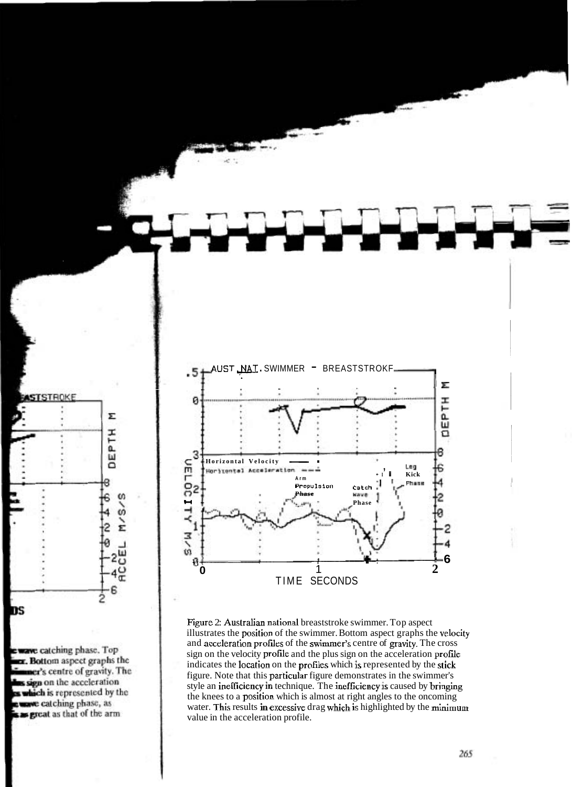

Figure 2: Australian national breaststroke swimmer. Top aspect illustrates the position of the swimmer. Bottom aspect graphs the velocity and acceleration profiies of the swimmer's centre of gravity. The cross sign on the velocity profile and the plus sign on the acceleration profie indicates the location on the profiles which is represented by the stick figure. Note that this particular figure demonstrates in the swimmer's style an inefficiency in technique. The inefficiency is caused by bringing the knees to a position which is almost at right angles to the oncoming water. This results in excessive drag which is highlighted by the minimum value in the acceleration profile.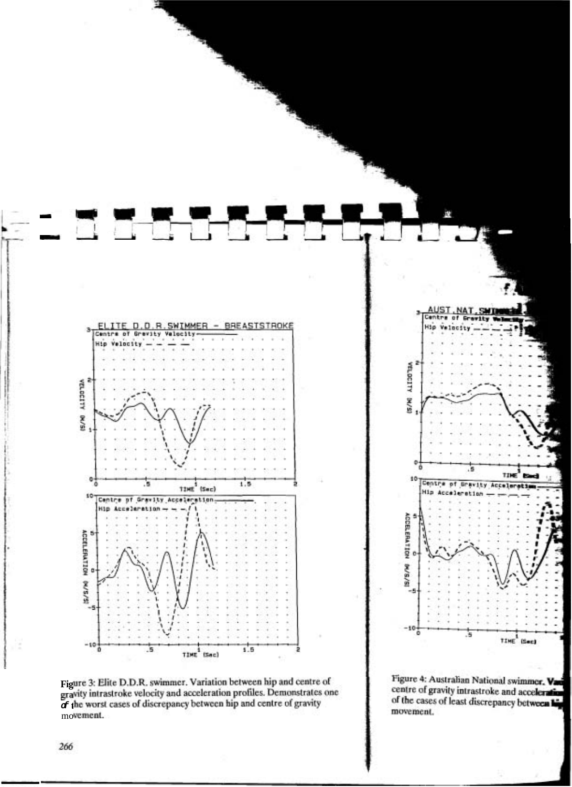

Figure 3: Elite D.D.R. swimmer. Variation between hip and centre of gravity intrastroke velocity and acceleration profiles. Demonstrates one of the worst cases of discrepancy between hip and centre of gravity movement.

266